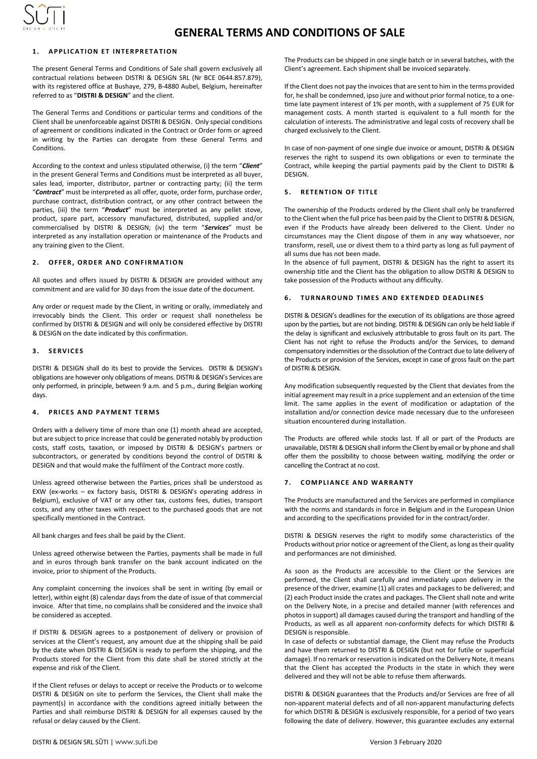

# **1 . A P P L I C A T I O N E T I N T E R P R E T A T I O N**

The present General Terms and Conditions of Sale shall govern exclusively all contractual relations between DISTRI & DESIGN SRL (Nr BCE 0644.857.879), with its registered office at Bushaye, 279, B-4880 Aubel, Belgium, hereinafter referred to as "**DISTRI & DESIGN**" and the client.

The General Terms and Conditions or particular terms and conditions of the Client shall be unenforceable against DISTRI & DESIGN. Only special conditions of agreement or conditions indicated in the Contract or Order form or agreed in writing by the Parties can derogate from these General Terms and Conditions.

According to the context and unless stipulated otherwise, (i) the term "*Client*" in the present General Terms and Conditions must be interpreted as all buyer, sales lead, importer, distributor, partner or contracting party; (ii) the term "*Contract*" must be interpreted as all offer, quote, order form, purchase order, purchase contract, distribution contract, or any other contract between the parties, (iii) the term "*Product*" must be interpreted as any pellet stove, product, spare part, accessory manufactured, distributed, supplied and/or commercialised by DISTRI & DESIGN; (iv) the term "*Services*" must be interpreted as any installation operation or maintenance of the Products and any training given to the Client.

### **2 OFFER, ORDER AND CONFIRMATION**

All quotes and offers issued by DISTRI & DESIGN are provided without any commitment and are valid for 30 days from the issue date of the document.

Any order or request made by the Client, in writing or orally, immediately and irrevocably binds the Client. This order or request shall nonetheless be confirmed by DISTRI & DESIGN and will only be considered effective by DISTRI & DESIGN on the date indicated by this confirmation.

## **3 . S E R V I C E S**

DISTRI & DESIGN shall do its best to provide the Services. DISTRI & DESIGN's obligations are however only obligations of means. DISTRI & DESIGN's Services are only performed, in principle, between 9 a.m. and 5 p.m., during Belgian working days.

# **4. PRICES AND PAYMENT TERMS**

Orders with a delivery time of more than one (1) month ahead are accepted, but are subject to price increase that could be generated notably by production costs, staff costs, taxation, or imposed by DISTRI & DESIGN's partners or subcontractors, or generated by conditions beyond the control of DISTRI & DESIGN and that would make the fulfilment of the Contract more costly.

Unless agreed otherwise between the Parties, prices shall be understood as EXW (ex-works – ex factory basis, DISTRI & DESIGN's operating address in Belgium), exclusive of VAT or any other tax, customs fees, duties, transport costs, and any other taxes with respect to the purchased goods that are not specifically mentioned in the Contract.

All bank charges and fees shall be paid by the Client.

Unless agreed otherwise between the Parties, payments shall be made in full and in euros through bank transfer on the bank account indicated on the invoice, prior to shipment of the Products.

Any complaint concerning the invoices shall be sent in writing (by email or letter), within eight (8) calendar days from the date of issue of that commercial invoice. After that time, no complains shall be considered and the invoice shall be considered as accepted.

If DISTRI & DESIGN agrees to a postponement of delivery or provision of services at the Client's request, any amount due at the shipping shall be paid by the date when DISTRI & DESIGN is ready to perform the shipping, and the Products stored for the Client from this date shall be stored strictly at the expense and risk of the Client.

If the Client refuses or delays to accept or receive the Products or to welcome DISTRI & DESIGN on site to perform the Services, the Client shall make the payment(s) in accordance with the conditions agreed initially between the Parties and shall reimburse DISTRI & DESIGN for all expenses caused by the refusal or delay caused by the Client.

The Products can be shipped in one single batch or in several batches, with the Client's agreement. Each shipment shall be invoiced separately.

If the Client does not pay the invoices that are sent to him in the terms provided for, he shall be condemned, ipso jure and without prior formal notice, to a onetime late payment interest of 1% per month, with a supplement of 75 EUR for management costs. A month started is equivalent to a full month for the calculation of interests. The administrative and legal costs of recovery shall be charged exclusively to the Client.

In case of non-payment of one single due invoice or amount, DISTRI & DESIGN reserves the right to suspend its own obligations or even to terminate the Contract, while keeping the partial payments paid by the Client to DISTRI & DESIGN.

# **5. RETENTION OF TITLE**

The ownership of the Products ordered by the Client shall only be transferred to the Client when the full price has been paid by the Client to DISTRI & DESIGN, even if the Products have already been delivered to the Client. Under no circumstances may the Client dispose of them in any way whatsoever, nor transform, resell, use or divest them to a third party as long as full payment of all sums due has not been made.

In the absence of full payment, DISTRI & DESIGN has the right to assert its ownership title and the Client has the obligation to allow DISTRI & DESIGN to take possession of the Products without any difficulty.

# **6. TURNAROUND TIMES AND EXTENDED DEADLINES**

DISTRI & DESIGN's deadlines for the execution of its obligations are those agreed upon by the parties, but are not binding. DISTRI & DESIGN can only be held liable if the delay is significant and exclusively attributable to gross fault on its part. The Client has not right to refuse the Products and/or the Services, to demand compensatory indemnities or the dissolution of the Contract due to late delivery of the Products or provision of the Services, except in case of gross fault on the part of DISTRI & DESIGN.

Any modification subsequently requested by the Client that deviates from the initial agreement may result in a price supplement and an extension of the time limit. The same applies in the event of modification or adaptation of the installation and/or connection device made necessary due to the unforeseen situation encountered during installation.

The Products are offered while stocks last. If all or part of the Products are unavailable, DISTRI & DESIGN shall inform the Client by email or by phone and shall offer them the possibility to choose between waiting, modifying the order or cancelling the Contract at no cost.

### **7 . C O M P L I A N C E A N D W A R R A N T Y**

The Products are manufactured and the Services are performed in compliance with the norms and standards in force in Belgium and in the European Union and according to the specifications provided for in the contract/order.

DISTRI & DESIGN reserves the right to modify some characteristics of the Products without prior notice or agreement of the Client, as long as their quality and performances are not diminished.

As soon as the Products are accessible to the Client or the Services are performed, the Client shall carefully and immediately upon delivery in the presence of the driver, examine (1) all crates and packages to be delivered; and (2) each Product inside the crates and packages. The Client shall note and write on the Delivery Note, in a precise and detailed manner (with references and photos in support) all damages caused during the transport and handling of the Products, as well as all apparent non-conformity defects for which DISTRI & DESIGN is responsible.

In case of defects or substantial damage, the Client may refuse the Products and have them returned to DISTRI & DESIGN (but not for futile or superficial damage). If no remark or reservation is indicated on the Delivery Note, it means that the Client has accepted the Products in the state in which they were delivered and they will not be able to refuse them afterwards.

DISTRI & DESIGN guarantees that the Products and/or Services are free of all non-apparent material defects and of all non-apparent manufacturing defects for which DISTRI & DESIGN is exclusively responsible, for a period of two years following the date of delivery. However, this guarantee excludes any external